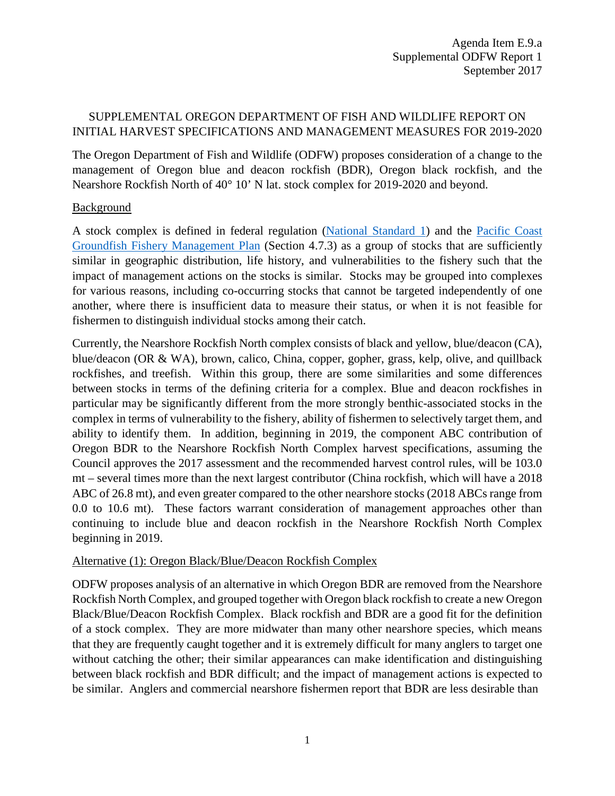# SUPPLEMENTAL OREGON DEPARTMENT OF FISH AND WILDLIFE REPORT ON INITIAL HARVEST SPECIFICATIONS AND MANAGEMENT MEASURES FOR 2019-2020

The Oregon Department of Fish and Wildlife (ODFW) proposes consideration of a change to the management of Oregon blue and deacon rockfish (BDR), Oregon black rockfish, and the Nearshore Rockfish North of 40° 10' N lat. stock complex for 2019-2020 and beyond.

### **Background**

A stock complex is defined in federal regulation [\(National Standard 1\)](https://www.ecfr.gov/cgi-bin/text-idx?SID=71b8c6026001cb90e4b0925328dce685&mc=true&node=se50.12.600_1310&rgn=div8) and the [Pacific Coast](http://www.pcouncil.org/wp-content/uploads/2017/03/GF_FMP_FinalThruA27-Aug2016.pdf)  [Groundfish Fishery Management Plan](http://www.pcouncil.org/wp-content/uploads/2017/03/GF_FMP_FinalThruA27-Aug2016.pdf) (Section 4.7.3) as a group of stocks that are sufficiently similar in geographic distribution, life history, and vulnerabilities to the fishery such that the impact of management actions on the stocks is similar. Stocks may be grouped into complexes for various reasons, including co-occurring stocks that cannot be targeted independently of one another, where there is insufficient data to measure their status, or when it is not feasible for fishermen to distinguish individual stocks among their catch.

Currently, the Nearshore Rockfish North complex consists of black and yellow, blue/deacon (CA), blue/deacon (OR & WA), brown, calico, China, copper, gopher, grass, kelp, olive, and quillback rockfishes, and treefish. Within this group, there are some similarities and some differences between stocks in terms of the defining criteria for a complex. Blue and deacon rockfishes in particular may be significantly different from the more strongly benthic-associated stocks in the complex in terms of vulnerability to the fishery, ability of fishermen to selectively target them, and ability to identify them. In addition, beginning in 2019, the component ABC contribution of Oregon BDR to the Nearshore Rockfish North Complex harvest specifications, assuming the Council approves the 2017 assessment and the recommended harvest control rules, will be 103.0 mt – several times more than the next largest contributor (China rockfish, which will have a 2018 ABC of 26.8 mt), and even greater compared to the other nearshore stocks (2018 ABCs range from 0.0 to 10.6 mt). These factors warrant consideration of management approaches other than continuing to include blue and deacon rockfish in the Nearshore Rockfish North Complex beginning in 2019.

## Alternative (1): Oregon Black/Blue/Deacon Rockfish Complex

ODFW proposes analysis of an alternative in which Oregon BDR are removed from the Nearshore Rockfish North Complex, and grouped together with Oregon black rockfish to create a new Oregon Black/Blue/Deacon Rockfish Complex. Black rockfish and BDR are a good fit for the definition of a stock complex. They are more midwater than many other nearshore species, which means that they are frequently caught together and it is extremely difficult for many anglers to target one without catching the other; their similar appearances can make identification and distinguishing between black rockfish and BDR difficult; and the impact of management actions is expected to be similar. Anglers and commercial nearshore fishermen report that BDR are less desirable than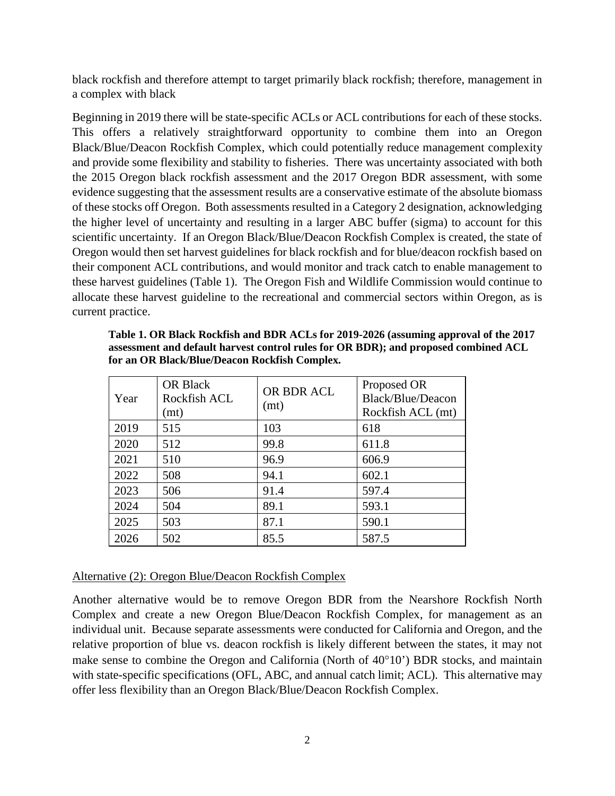black rockfish and therefore attempt to target primarily black rockfish; therefore, management in a complex with black

Beginning in 2019 there will be state-specific ACLs or ACL contributions for each of these stocks. This offers a relatively straightforward opportunity to combine them into an Oregon Black/Blue/Deacon Rockfish Complex, which could potentially reduce management complexity and provide some flexibility and stability to fisheries. There was uncertainty associated with both the 2015 Oregon black rockfish assessment and the 2017 Oregon BDR assessment, with some evidence suggesting that the assessment results are a conservative estimate of the absolute biomass of these stocks off Oregon. Both assessments resulted in a Category 2 designation, acknowledging the higher level of uncertainty and resulting in a larger ABC buffer (sigma) to account for this scientific uncertainty. If an Oregon Black/Blue/Deacon Rockfish Complex is created, the state of Oregon would then set harvest guidelines for black rockfish and for blue/deacon rockfish based on their component ACL contributions, and would monitor and track catch to enable management to these harvest guidelines (Table 1). The Oregon Fish and Wildlife Commission would continue to allocate these harvest guideline to the recreational and commercial sectors within Oregon, as is current practice.

| Year | <b>OR Black</b><br>Rockfish ACL<br>(mt) | OR BDR ACL<br>(mt) | Proposed OR<br>Black/Blue/Deacon<br>Rockfish ACL (mt) |
|------|-----------------------------------------|--------------------|-------------------------------------------------------|
| 2019 | 515                                     | 103                | 618                                                   |
| 2020 | 512                                     | 99.8               | 611.8                                                 |
| 2021 | 510                                     | 96.9               | 606.9                                                 |
| 2022 | 508                                     | 94.1               | 602.1                                                 |
| 2023 | 506                                     | 91.4               | 597.4                                                 |
| 2024 | 504                                     | 89.1               | 593.1                                                 |
| 2025 | 503                                     | 87.1               | 590.1                                                 |
| 2026 | 502                                     | 85.5               | 587.5                                                 |

**Table 1. OR Black Rockfish and BDR ACLs for 2019-2026 (assuming approval of the 2017 assessment and default harvest control rules for OR BDR); and proposed combined ACL for an OR Black/Blue/Deacon Rockfish Complex.**

### Alternative (2): Oregon Blue/Deacon Rockfish Complex

Another alternative would be to remove Oregon BDR from the Nearshore Rockfish North Complex and create a new Oregon Blue/Deacon Rockfish Complex, for management as an individual unit. Because separate assessments were conducted for California and Oregon, and the relative proportion of blue vs. deacon rockfish is likely different between the states, it may not make sense to combine the Oregon and California (North of 40°10') BDR stocks, and maintain with state-specific specifications (OFL, ABC, and annual catch limit; ACL). This alternative may offer less flexibility than an Oregon Black/Blue/Deacon Rockfish Complex.